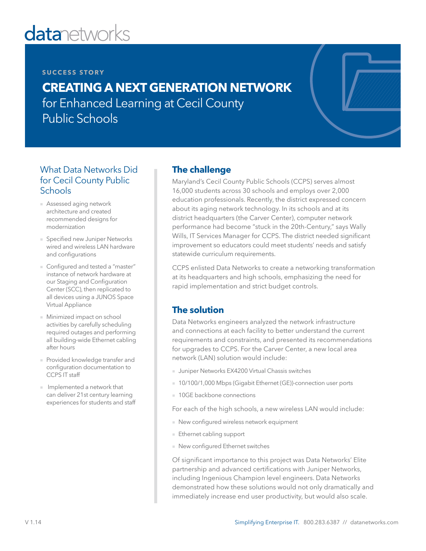# **datanetworks**

#### **SUCCESS STORY**

# **CREATING A NEXT GENERATION NETWORK**  for Enhanced Learning at Cecil County Public Schools

#### What Data Networks Did for Cecil County Public **Schools**

- Assessed aging network architecture and created recommended designs for modernization
- Specified new Juniper Networks wired and wireless LAN hardware and configurations
- Configured and tested a "master" instance of network hardware at our Staging and Configuration Center (SCC), then replicated to all devices using a JUNOS Space Virtual Appliance
- Minimized impact on school activities by carefully scheduling required outages and performing all building-wide Ethernet cabling after hours
- Provided knowledge transfer and configuration documentation to CCPS IT staff
- Implemented a network that can deliver 21st century learning experiences for students and staff

#### **The challenge**

Maryland's Cecil County Public Schools (CCPS) serves almost 16,000 students across 30 schools and employs over 2,000 education professionals. Recently, the district expressed concern about its aging network technology. In its schools and at its district headquarters (the Carver Center), computer network performance had become "stuck in the 20th-Century," says Wally Wills, IT Services Manager for CCPS. The district needed significant improvement so educators could meet students' needs and satisfy statewide curriculum requirements.

CCPS enlisted Data Networks to create a networking transformation at its headquarters and high schools, emphasizing the need for rapid implementation and strict budget controls.

## **The solution**

Data Networks engineers analyzed the network infrastructure and connections at each facility to better understand the current requirements and constraints, and presented its recommendations for upgrades to CCPS. For the Carver Center, a new local area network (LAN) solution would include:

- Juniper Networks EX4200 Virtual Chassis switches
- 10/100/1,000 Mbps (Gigabit Ethernet (GE))-connection user ports
- 10GE backbone connections

For each of the high schools, a new wireless LAN would include:

- New configured wireless network equipment
- Ethernet cabling support
- New configured Ethernet switches

Of significant importance to this project was Data Networks' Elite partnership and advanced certifications with Juniper Networks, including Ingenious Champion level engineers. Data Networks demonstrated how these solutions would not only dramatically and immediately increase end user productivity, but would also scale.